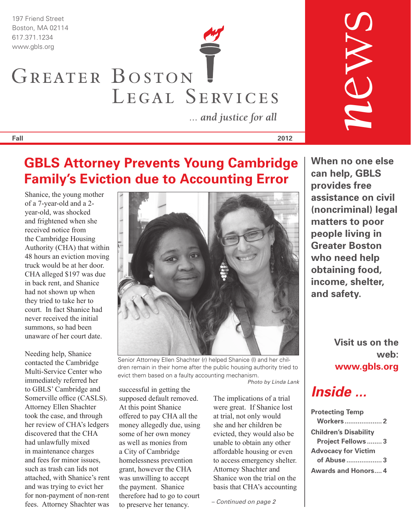197 Friend Street Boston, MA 02114

# 617.371.1234 www.gbls.org GREATER BOSTON LEGAL SERVICES

... and justice for all

**Fall 2012**

### **GBLS Attorney Prevents Young Cambridge Family's Eviction due to Accounting Error**

Shanice, the young mother of a 7-year-old and a 2 year-old, was shocked and frightened when she received notice from the Cambridge Housing Authority (CHA) that within 48 hours an eviction moving truck would be at her door. CHA alleged \$197 was due in back rent, and Shanice had not shown up when they tried to take her to court. In fact Shanice had never received the initial summons, so had been unaware of her court date.

Needing help, Shanice contacted the Cambridge Multi-Service Center who immediately referred her to GBLS' Cambridge and Somerville office (CASLS). Attorney Ellen Shachter took the case, and through her review of CHA's ledgers discovered that the CHA had unlawfully mixed in maintenance charges and fees for minor issues, such as trash can lids not attached, with Shanice's rent and was trying to evict her for non-payment of non-rent fees. Attorney Shachter was



Senior Attorney Ellen Shachter (r) helped Shanice (l) and her children remain in their home after the public housing authority tried to evict them based on a faulty accounting mechanism.

*Photo by Linda Lank*

successful in getting the supposed default removed. At this point Shanice offered to pay CHA all the money allegedly due, using some of her own money as well as monies from a City of Cambridge homelessness prevention grant, however the CHA was unwilling to accept the payment. Shanice therefore had to go to court to preserve her tenancy.

The implications of a trial were great. If Shanice lost at trial, not only would she and her children be evicted, they would also be unable to obtain any other affordable housing or even to access emergency shelter. Attorney Shachter and Shanice won the trial on the basis that CHA's accounting

*– Continued on page 2*

**When no one else can help, GBLS provides free assistance on civil (noncriminal) legal matters to poor people living in Greater Boston who need help obtaining food, income, shelter, and safety.**

*n*ews

**Visit us on the web: www.gbls.org**

### *Inside ...*

| <b>Protecting Temp</b>       |
|------------------------------|
| <b>Workers 2</b>             |
| <b>Children's Disability</b> |
| <b>Project Fellows3</b>      |
| <b>Advocacy for Victim</b>   |
| of Abuse  3                  |
| <b>Awards and Honors 4</b>   |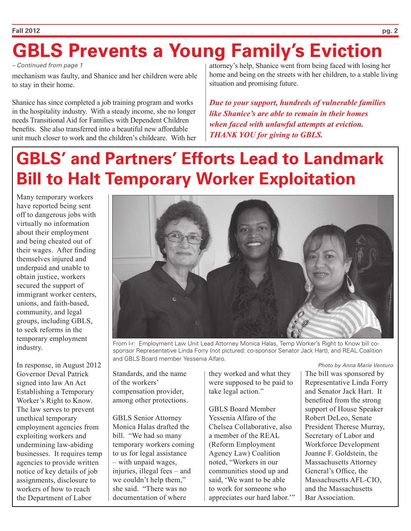# **GBLS Prevents a Young Family's Eviction**

*– Continued from page 1*

mechanism was faulty, and Shanice and her children were able to stay in their home.

Shanice has since completed a job training program and works in the hospitality industry. With a steady income, she no longer needs Transitional Aid for Families with Dependent Children benefits. She also transferred into a beautiful new affordable unit much closer to work and the children's childcare. With her attorney's help, Shanice went from being faced with losing her home and being on the streets with her children, to a stable living situation and promising future.

*Due to your support, hundreds of vulnerable families like Shanice's are able to remain in their homes when faced with unlawful attempts at eviction. THANK YOU for giving to GBLS.*

# **GBLS' and Partners' Efforts Lead to Landmark Bill to Halt Temporary Worker Exploitation**

Many temporary workers have reported being sent off to dangerous jobs with virtually no information about their employment and being cheated out of their wages. After finding themselves injured and underpaid and unable to obtain justice, workers secured the support of immigrant worker centers, unions, and faith-based, community, and legal groups, including GBLS, to seek reforms in the temporary employment industry.

In response, in August 2012 Governor Deval Patrick signed into law An Act Establishing a Temporary Worker's Right to Know. The law serves to prevent unethical temporary employment agencies from exploiting workers and undermining law-abiding businesses. It requires temp agencies to provide written notice of key details of job assignments, disclosure to workers of how to reach the Department of Labor



From l-r: Employment Law Unit Lead Attorney Monica Halas, Temp Worker's Right to Know bill cosponsor Representative Linda Forry (not pictured: co-sponsor Senator Jack Hart), and REAL Coalition and GBLS Board member Yessenia Alfaro.

Standards, and the name of the workers' compensation provider, among other protections.

GBLS Senior Attorney Monica Halas drafted the bill. "We had so many temporary workers coming to us for legal assistance – with unpaid wages, injuries, illegal fees – and we couldn't help them," she said. "There was no documentation of where

they worked and what they were supposed to be paid to take legal action."

GBLS Board Member Yessenia Alfaro of the Chelsea Collaborative, also a member of the REAL (Reform Employment Agency Law) Coalition noted, "Workers in our communities stood up and said, 'We want to be able to work for someone who appreciates our hard labor.'" The bill was sponsored by Representative Linda Forry and Senator Jack Hart. It benefited from the strong support of House Speaker Robert DeLeo, Senate President Therese Murray, Secretary of Labor and Workforce Development Joanne F. Goldstein, the Massachusetts Attorney General's Office, the Massachusetts AFL-CIO, and the Massachusetts Bar Association. *Photo by Anna Marie Venturo*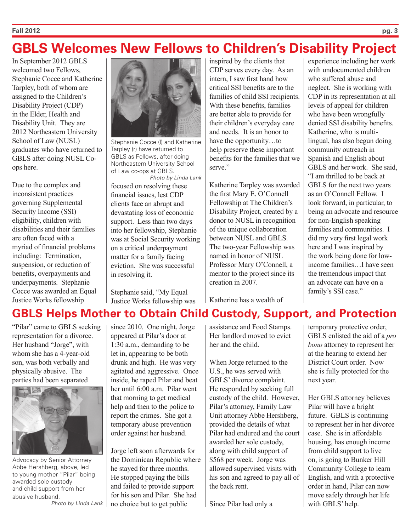#### **Fall 2012 pg. 3**

### **GBLS Welcomes New Fellows to Children's Disability Project**

In September 2012 GBLS welcomed two Fellows, Stephanie Cocce and Katherine Tarpley, both of whom are assigned to the Children's Disability Project (CDP) in the Elder, Health and Disability Unit. They are 2012 Northeastern University School of Law (NUSL) graduates who have returned to GBLS after doing NUSL Coops here.

Due to the complex and inconsistent practices governing Supplemental Security Income (SSI) eligibility, children with disabilities and their families are often faced with a myriad of financial problems including: Termination, suspension, or reduction of benefits, overpayments and underpayments. Stephanie Cocce was awarded an Equal Justice Works fellowship



Stephanie Cocce (l) and Katherine Tarpley (r) have returned to GBLS as Fellows, after doing Northeastern University School of Law co-ops at GBLS. *Photo by Linda Lank*

focused on resolving these financial issues, lest CDP clients face an abrupt and devastating loss of economic support. Less than two days into her fellowship, Stephanie was at Social Security working on a critical underpayment matter for a family facing eviction. She was successful in resolving it.

Stephanie said, "My Equal Justice Works fellowship was

inspired by the clients that CDP serves every day. As an intern, I saw first hand how critical SSI benefits are to the families of child SSI recipients. With these benefits, families are better able to provide for their children's everyday care and needs. It is an honor to have the opportunity…to help preserve these important benefits for the families that we serve<sup>"</sup>

Katherine Tarpley was awarded the first Mary E. O'Connell Fellowship at The Children's Disability Project, created by a donor to NUSL in recognition of the unique collaboration between NUSL and GBLS. The two-year Fellowship was named in honor of NUSL Professor Mary O'Connell, a mentor to the project since its creation in 2007.

Katherine has a wealth of

experience including her work with undocumented children who suffered abuse and neglect. She is working with CDP in its representation at all levels of appeal for children who have been wrongfully denied SSI disability benefits. Katherine, who is multilingual, has also begun doing community outreach in Spanish and English about GBLS and her work. She said, "I am thrilled to be back at GBLS for the next two years as an O'Connell Fellow. I look forward, in particular, to being an advocate and resource for non-English speaking families and communities. I did my very first legal work here and I was inspired by the work being done for lowincome families…I have seen the tremendous impact that an advocate can have on a family's SSI case."

### **GBLS Helps Mother to Obtain Child Custody, Support, and Protection**

"Pilar" came to GBLS seeking representation for a divorce. Her husband "Jorge", with whom she has a 4-year-old son, was both verbally and physically abusive. The parties had been separated



Advocacy by Senior Attorney Abbe Hershberg, above, led to young mother "Pilar" being awarded sole custody and child support from her abusive husband.

*Photo by Linda Lank*

since 2010. One night, Jorge appeared at Pilar's door at 1:30 a.m., demanding to be let in, appearing to be both drunk and high. He was very agitated and aggressive. Once inside, he raped Pilar and beat her until 6:00 a.m. Pilar went that morning to get medical help and then to the police to report the crimes. She got a temporary abuse prevention order against her husband.

Jorge left soon afterwards for the Dominican Republic where he stayed for three months. He stopped paying the bills and failed to provide support for his son and Pilar. She had no choice but to get public

assistance and Food Stamps. Her landlord moved to evict her and the child.

When Jorge returned to the U.S., he was served with GBLS' divorce complaint. He responded by seeking full custody of the child. However, Pilar's attorney, Family Law Unit attorney Abbe Hershberg, provided the details of what Pilar had endured and the court awarded her sole custody, along with child support of \$568 per week. Jorge was allowed supervised visits with his son and agreed to pay all of the back rent.

Since Pilar had only a

temporary protective order, GBLS enlisted the aid of a *pro bono* attorney to represent her at the hearing to extend her District Court order. Now she is fully protected for the next year.

Her GBLS attorney believes Pilar will have a bright future. GBLS is continuing to represent her in her divorce case. She is in affordable housing, has enough income from child support to live on, is going to Bunker Hill Community College to learn English, and with a protective order in hand, Pilar can now move safely through her life with GBLS' help.